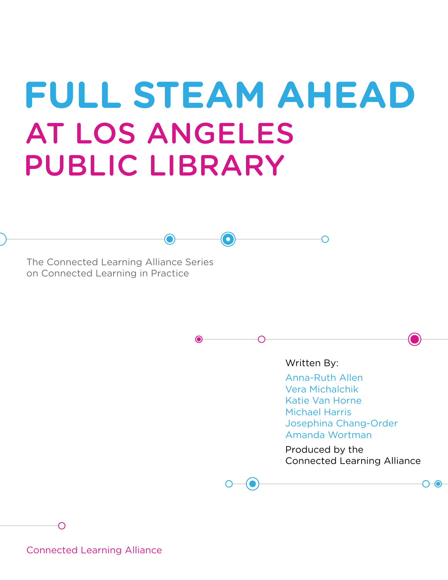# **FULL STEAM AHEAD** AT LOS ANGELES PUBLIC LIBRARY

 $\bigodot$ 

The Connected Learning Alliance Series on Connected Learning in Practice

Written By:

Anna-Ruth Allen Vera Michalchik Katie Van Horne Michael Harris Josephina Chang-Order Amanda Wortman

Produced by the Connected Learning Alliance

Connected Learning Alliance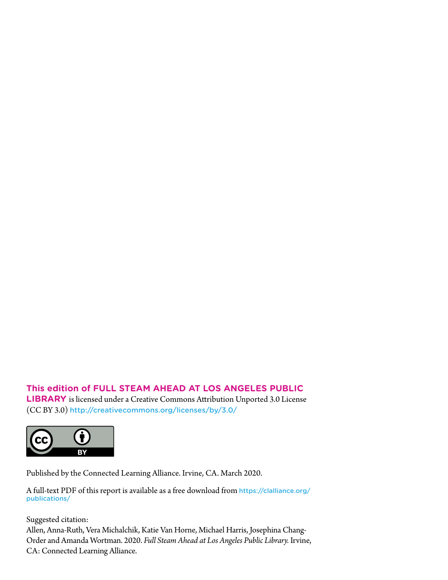## **This edition of FULL STEAM AHEAD AT LOS ANGELES PUBLIC**

**LIBRARY** is licensed under a Creative Commons Attribution Unported 3.0 License (CC BY 3.0) <http://creativecommons.org/licenses/by/3.0/>



Published by the Connected Learning Alliance. Irvine, CA. March 2020.

A full-text PDF of this report is available as a free download from [https://clalliance.org/](https://clalliance.org/publications/) [publications/](https://clalliance.org/publications/)

Suggested citation:

Allen, Anna-Ruth, Vera Michalchik, Katie Van Horne, Michael Harris, Josephina Chang-Order and Amanda Wortman. 2020. *Full Steam Ahead at Los Angeles Public Library.* Irvine, CA: Connected Learning Alliance.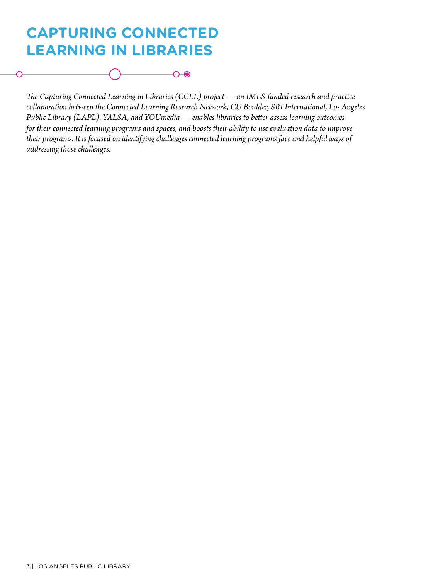# **CAPTURING CONNECTED LEARNING IN LIBRARIES**



*The Capturing Connected Learning in Libraries (CCLL) project — an IMLS-funded research and practice collaboration between the Connected Learning Research Network, CU Boulder, SRI International, Los Angeles Public Library (LAPL), YALSA, and YOUmedia — enables libraries to better assess learning outcomes for their connected learning programs and spaces, and boosts their ability to use evaluation data to improve their programs. It is focused on identifying challenges connected learning programs face and helpful ways of addressing those challenges.*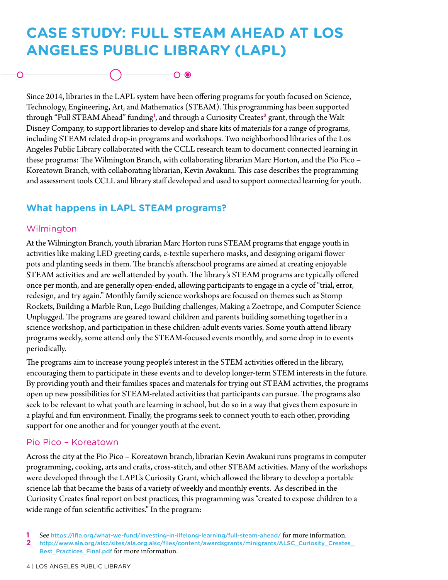# **CASE STUDY: FULL STEAM AHEAD AT LOS ANGELES PUBLIC LIBRARY (LAPL)**

 $\bigcirc$   $\bigcirc$ 

Since 2014, libraries in the LAPL system have been offering programs for youth focused on Science, Technology, Engineering, Art, and Mathematics (STEAM). This programming has been supported through "Full STEAM Ahead" funding**<sup>1</sup>** , and through a Curiosity Creates**<sup>2</sup>** grant, through the Walt Disney Company, to support libraries to develop and share kits of materials for a range of programs, including STEAM related drop-in programs and workshops. Two neighborhood libraries of the Los Angeles Public Library collaborated with the CCLL research team to document connected learning in these programs: The Wilmington Branch, with collaborating librarian Marc Horton, and the Pio Pico – Koreatown Branch, with collaborating librarian, Kevin Awakuni. This case describes the programming and assessment tools CCLL and library staff developed and used to support connected learning for youth.

## **What happens in LAPL STEAM programs?**

#### Wilmington

At the Wilmington Branch, youth librarian Marc Horton runs STEAM programs that engage youth in activities like making LED greeting cards, e-textile superhero masks, and designing origami flower pots and planting seeds in them. The branch's afterschool programs are aimed at creating enjoyable STEAM activities and are well attended by youth. The library's STEAM programs are typically offered once per month, and are generally open-ended, allowing participants to engage in a cycle of "trial, error, redesign, and try again." Monthly family science workshops are focused on themes such as Stomp Rockets, Building a Marble Run, Lego Building challenges, Making a Zoetrope, and Computer Science Unplugged. The programs are geared toward children and parents building something together in a science workshop, and participation in these children-adult events varies. Some youth attend library programs weekly, some attend only the STEAM-focused events monthly, and some drop in to events periodically.

The programs aim to increase young people's interest in the STEM activities offered in the library, encouraging them to participate in these events and to develop longer-term STEM interests in the future. By providing youth and their families spaces and materials for trying out STEAM activities, the programs open up new possibilities for STEAM-related activities that participants can pursue. The programs also seek to be relevant to what youth are learning in school, but do so in a way that gives them exposure in a playful and fun environment. Finally, the programs seek to connect youth to each other, providing support for one another and for younger youth at the event.

#### Pio Pico – Koreatown

Across the city at the Pio Pico – Koreatown branch, librarian Kevin Awakuni runs programs in computer programming, cooking, arts and crafts, cross-stitch, and other STEAM activities. Many of the workshops were developed through the LAPL's Curiosity Grant, which allowed the library to develop a portable science lab that became the basis of a variety of weekly and monthly events. As described in the Curiosity Creates final report on best practices, this programming was "created to expose children to a wide range of fun scientific activities." In the program:

- **1** See <https://lfla.org/what-we-fund/investing-in-lifelong-learning/full-steam-ahead/> for more information.<br>**2** http://www.ala.org/alsc/sites/ala.org.alsc/files/content/awardsgrants/minigrants/ALSC\_Curiosity\_Create
- **2** [http://www.ala.org/alsc/sites/ala.org.alsc/files/content/awardsgrants/minigrants/ALSC\\_Curiosity\\_Creates\\_](http://www.ala.org/alsc/sites/ala.org.alsc/files/content/awardsgrants/minigrants/ALSC_Curiosity_Creates_Best_Practices_Final.pdf) [Best\\_Practices\\_Final.pdf](http://www.ala.org/alsc/sites/ala.org.alsc/files/content/awardsgrants/minigrants/ALSC_Curiosity_Creates_Best_Practices_Final.pdf) for more information.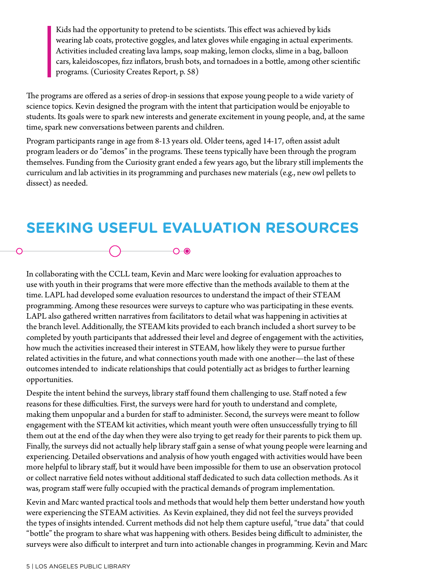Kids had the opportunity to pretend to be scientists. This effect was achieved by kids wearing lab coats, protective goggles, and latex gloves while engaging in actual experiments. Activities included creating lava lamps, soap making, lemon clocks, slime in a bag, balloon cars, kaleidoscopes, fizz inflators, brush bots, and tornadoes in a bottle, among other scientific programs. (Curiosity Creates Report, p. 58)

The programs are offered as a series of drop-in sessions that expose young people to a wide variety of science topics. Kevin designed the program with the intent that participation would be enjoyable to students. Its goals were to spark new interests and generate excitement in young people, and, at the same time, spark new conversations between parents and children.

Program participants range in age from 8-13 years old. Older teens, aged 14-17, often assist adult program leaders or do "demos" in the programs. These teens typically have been through the program themselves. Funding from the Curiosity grant ended a few years ago, but the library still implements the curriculum and lab activities in its programming and purchases new materials (e.g., new owl pellets to dissect) as needed.

# **SEEKING USEFUL EVALUATION RESOURCES**

In collaborating with the CCLL team, Kevin and Marc were looking for evaluation approaches to use with youth in their programs that were more effective than the methods available to them at the time. LAPL had developed some evaluation resources to understand the impact of their STEAM programming. Among these resources were surveys to capture who was participating in these events. LAPL also gathered written narratives from facilitators to detail what was happening in activities at the branch level. Additionally, the STEAM kits provided to each branch included a short survey to be completed by youth participants that addressed their level and degree of engagement with the activities, how much the activities increased their interest in STEAM, how likely they were to pursue further related activities in the future, and what connections youth made with one another—the last of these outcomes intended to indicate relationships that could potentially act as bridges to further learning opportunities.

Despite the intent behind the surveys, library staff found them challenging to use. Staff noted a few reasons for these difficulties. First, the surveys were hard for youth to understand and complete, making them unpopular and a burden for staff to administer. Second, the surveys were meant to follow engagement with the STEAM kit activities, which meant youth were often unsuccessfully trying to fill them out at the end of the day when they were also trying to get ready for their parents to pick them up. Finally, the surveys did not actually help library staff gain a sense of what young people were learning and experiencing. Detailed observations and analysis of how youth engaged with activities would have been more helpful to library staff, but it would have been impossible for them to use an observation protocol or collect narrative field notes without additional staff dedicated to such data collection methods. As it was, program staff were fully occupied with the practical demands of program implementation.

Kevin and Marc wanted practical tools and methods that would help them better understand how youth were experiencing the STEAM activities. As Kevin explained, they did not feel the surveys provided the types of insights intended. Current methods did not help them capture useful, "true data" that could "bottle" the program to share what was happening with others. Besides being difficult to administer, the surveys were also difficult to interpret and turn into actionable changes in programming. Kevin and Marc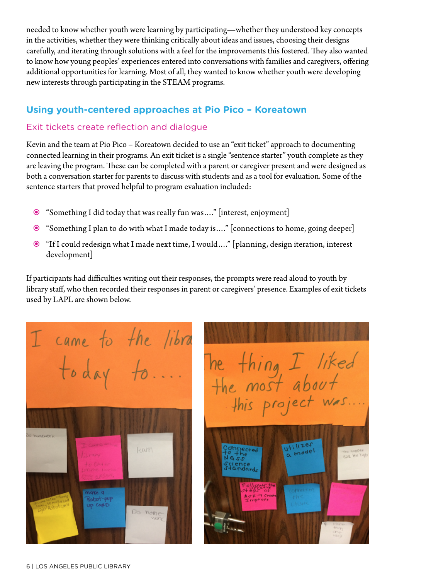needed to know whether youth were learning by participating—whether they understood key concepts in the activities, whether they were thinking critically about ideas and issues, choosing their designs carefully, and iterating through solutions with a feel for the improvements this fostered. They also wanted to know how young peoples' experiences entered into conversations with families and caregivers, offering additional opportunities for learning. Most of all, they wanted to know whether youth were developing new interests through participating in the STEAM programs.

#### **Using youth-centered approaches at Pio Pico – Koreatown**

#### Exit tickets create reflection and dialogue

Kevin and the team at Pio Pico – Koreatown decided to use an "exit ticket" approach to documenting connected learning in their programs. An exit ticket is a single "sentence starter" youth complete as they are leaving the program. These can be completed with a parent or caregiver present and were designed as both a conversation starter for parents to discuss with students and as a tool for evaluation. Some of the sentence starters that proved helpful to program evaluation included:

- "Something I did today that was really fun was…." [interest, enjoyment]
- "Something I plan to do with what I made today is…." [connections to home, going deeper]
- "If I could redesign what I made next time, I would…." [planning, design iteration, interest development]

If participants had difficulties writing out their responses, the prompts were read aloud to youth by library staff, who then recorded their responses in parent or caregivers' presence. Examples of exit tickets used by LAPL are shown below.



The thing I liked<br>the most about<br>this project was.... utilizes model na copper<br>and the ligh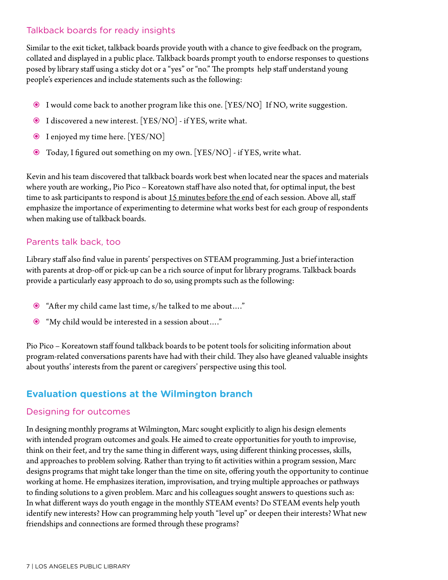#### Talkback boards for ready insights

Similar to the exit ticket, talkback boards provide youth with a chance to give feedback on the program, collated and displayed in a public place. Talkback boards prompt youth to endorse responses to questions posed by library staff using a sticky dot or a "yes" or "no." The prompts help staff understand young people's experiences and include statements such as the following:

- I would come back to another program like this one. [YES/NO] If NO, write suggestion.
- I discovered a new interest. [YES/NO] if YES, write what.
- I enjoyed my time here. [YES/NO]
- Today, I figured out something on my own. [YES/NO] if YES, write what.

Kevin and his team discovered that talkback boards work best when located near the spaces and materials where youth are working., Pio Pico – Koreatown staff have also noted that, for optimal input, the best time to ask participants to respond is about 15 minutes before the end of each session. Above all, staff emphasize the importance of experimenting to determine what works best for each group of respondents when making use of talkback boards.

#### Parents talk back, too

Library staff also find value in parents' perspectives on STEAM programming. Just a brief interaction with parents at drop-off or pick-up can be a rich source of input for library programs. Talkback boards provide a particularly easy approach to do so, using prompts such as the following:

- "After my child came last time, s/he talked to me about…."
- "My child would be interested in a session about…."

Pio Pico – Koreatown staff found talkback boards to be potent tools for soliciting information about program-related conversations parents have had with their child. They also have gleaned valuable insights about youths' interests from the parent or caregivers' perspective using this tool.

## **Evaluation questions at the Wilmington branch**

#### Designing for outcomes

In designing monthly programs at Wilmington, Marc sought explicitly to align his design elements with intended program outcomes and goals. He aimed to create opportunities for youth to improvise, think on their feet, and try the same thing in different ways, using different thinking processes, skills, and approaches to problem solving. Rather than trying to fit activities within a program session, Marc designs programs that might take longer than the time on site, offering youth the opportunity to continue working at home. He emphasizes iteration, improvisation, and trying multiple approaches or pathways to finding solutions to a given problem. Marc and his colleagues sought answers to questions such as: In what different ways do youth engage in the monthly STEAM events? Do STEAM events help youth identify new interests? How can programming help youth "level up" or deepen their interests? What new friendships and connections are formed through these programs?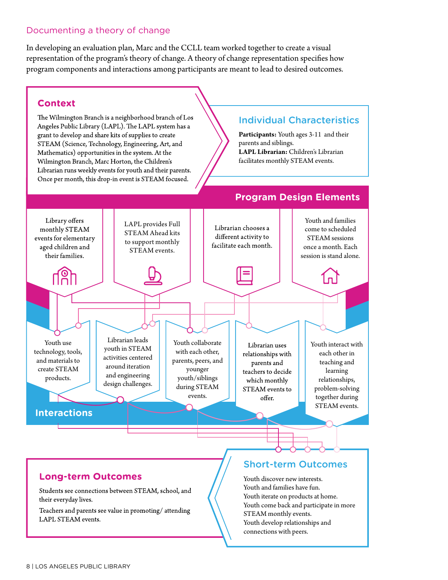#### Documenting a theory of change

In developing an evaluation plan, Marc and the CCLL team worked together to create a visual representation of the program's theory of change. A theory of change representation specifies how program components and interactions among participants are meant to lead to desired outcomes.

#### **Context**

The Wilmington Branch is a neighborhood branch of Los Angeles Public Library (LAPL). The LAPL system has a grant to develop and share kits of supplies to create STEAM (Science, Technology, Engineering, Art, and Mathematics) opportunities in the system. At the Wilmington Branch, Marc Horton, the Children's Librarian runs weekly events for youth and their parents. Once per month, this drop-in event is STEAM focused.

### Individual Characteristics

**Participants:** Youth ages 3-11 and their parents and siblings. **LAPL Librarian:** Children's Librarian facilitates monthly STEAM events.



#### **Long-term Outcomes**

Students see connections between STEAM, school, and their everyday lives.

Teachers and parents see value in promoting/attending LAPL STEAM events.

#### Short-term Outcomes

Youth discover new interests. Youth and families have fun. Youth iterate on products at home. Youth come back and participate in more STEAM monthly events. Youth develop relationships and connections with peers.